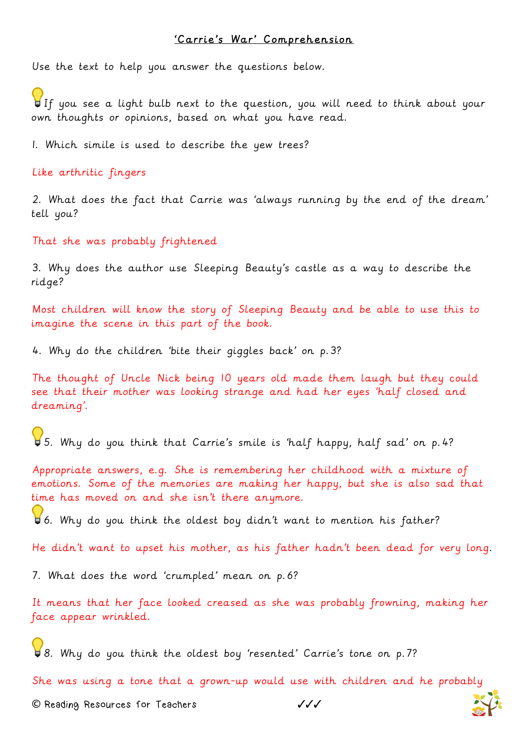## 'Carrie's War' Comprehension

Use the text to help you answer the questions below.

If you see a light bulb next to the question, you will need to think about your own thoughts or opinions, based on what you have read.

1. Which simile is used to describe the yew trees?

Like arthritic fingers

2. What does the fact that Carrie was 'always running by the end of the dream' tell you?

That she was probably frightened

3. Why does the author use Sleeping Beauty's castle as a way to describe the ridge?

Most children will know the story of Sleeping Beauty and be able to use this to imagine the scene in this part of the book.

4. Why do the children 'bite their giggles back' on p.3?

The thought of Uncle Nick being 10 years old made them laugh but they could see that their mother was looking strange and had her eyes 'half closed and dreaming'.

5. Why do you think that Carrie's smile is 'half happy, half sad' on p.4?

Appropriate answers, e.g. She is remembering her childhood with a mixture of emotions. Some of the memories are making her happy, but she is also sad that time has moved on and she isn't there anymore.

6. Why do you think the oldest boy didn't want to mention his father?

He didn't want to upset his mother, as his father hadn't been dead for very long.

7. What does the word 'crumpled' mean on p.6?

It means that her face looked creased as she was probably frowning, making her face appear wrinkled.

8. Why do you think the oldest boy 'resented' Carrie's tone on p.7?

She was using a tone that a grown-up would use with children and he probably